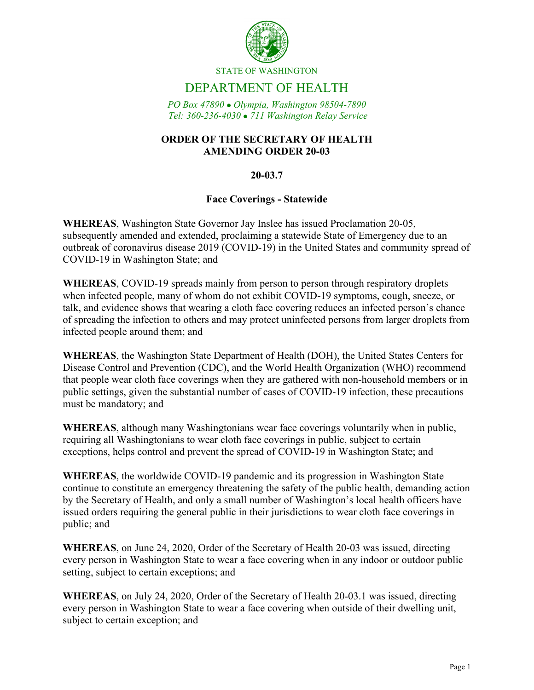

STATE OF WASHINGTON

# DEPARTMENT OF HEALTH

*PO Box 47890 Olympia, Washington 98504-7890 Tel: 360-236-4030 711 Washington Relay Service*

### **ORDER OF THE SECRETARY OF HEALTH AMENDING ORDER 20-03**

### **20-03.7**

#### **Face Coverings - Statewide**

**WHEREAS**, Washington State Governor Jay Inslee has issued Proclamation 20-05, subsequently amended and extended, proclaiming a statewide State of Emergency due to an outbreak of coronavirus disease 2019 (COVID-19) in the United States and community spread of COVID-19 in Washington State; and

**WHEREAS**, COVID-19 spreads mainly from person to person through respiratory droplets when infected people, many of whom do not exhibit COVID-19 symptoms, cough, sneeze, or talk, and evidence shows that wearing a cloth face covering reduces an infected person's chance of spreading the infection to others and may protect uninfected persons from larger droplets from infected people around them; and

**WHEREAS**, the Washington State Department of Health (DOH), the United States Centers for Disease Control and Prevention (CDC), and the World Health Organization (WHO) recommend that people wear cloth face coverings when they are gathered with non-household members or in public settings, given the substantial number of cases of COVID-19 infection, these precautions must be mandatory; and

**WHEREAS**, although many Washingtonians wear face coverings voluntarily when in public, requiring all Washingtonians to wear cloth face coverings in public, subject to certain exceptions, helps control and prevent the spread of COVID-19 in Washington State; and

**WHEREAS**, the worldwide COVID-19 pandemic and its progression in Washington State continue to constitute an emergency threatening the safety of the public health, demanding action by the Secretary of Health, and only a small number of Washington's local health officers have issued orders requiring the general public in their jurisdictions to wear cloth face coverings in public; and

**WHEREAS**, on June 24, 2020, Order of the Secretary of Health 20-03 was issued, directing every person in Washington State to wear a face covering when in any indoor or outdoor public setting, subject to certain exceptions; and

**WHEREAS**, on July 24, 2020, Order of the Secretary of Health 20-03.1 was issued, directing every person in Washington State to wear a face covering when outside of their dwelling unit, subject to certain exception; and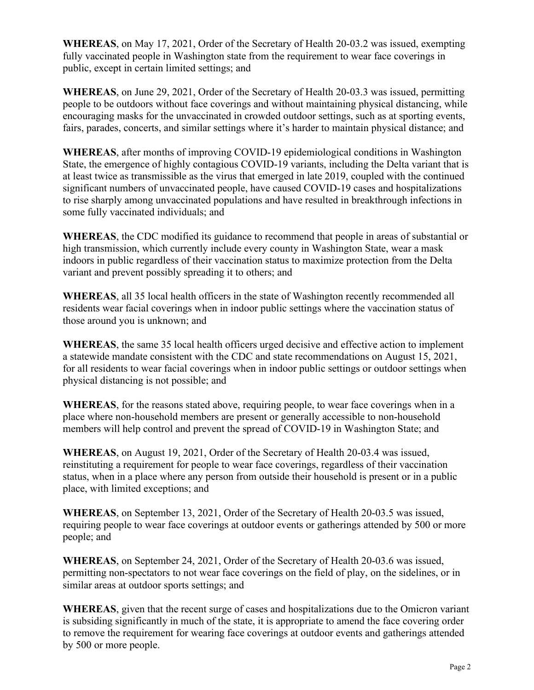**WHEREAS**, on May 17, 2021, Order of the Secretary of Health 20-03.2 was issued, exempting fully vaccinated people in Washington state from the requirement to wear face coverings in public, except in certain limited settings; and

**WHEREAS**, on June 29, 2021, Order of the Secretary of Health 20-03.3 was issued, permitting people to be outdoors without face coverings and without maintaining physical distancing, while encouraging masks for the unvaccinated in crowded outdoor settings, such as at sporting events, fairs, parades, concerts, and similar settings where it's harder to maintain physical distance; and

**WHEREAS**, after months of improving COVID-19 epidemiological conditions in Washington State, the emergence of highly contagious COVID-19 variants, including the Delta variant that is at least twice as transmissible as the virus that emerged in late 2019, coupled with the continued significant numbers of unvaccinated people, have caused COVID-19 cases and hospitalizations to rise sharply among unvaccinated populations and have resulted in breakthrough infections in some fully vaccinated individuals; and

**WHEREAS**, the CDC modified its guidance to recommend that people in areas of substantial or high transmission, which currently include every county in Washington State, wear a mask indoors in public regardless of their vaccination status to maximize protection from the Delta variant and prevent possibly spreading it to others; and

**WHEREAS**, all 35 local health officers in the state of Washington recently recommended all residents wear facial coverings when in indoor public settings where the vaccination status of those around you is unknown; and

**WHEREAS**, the same 35 local health officers urged decisive and effective action to implement a statewide mandate consistent with the CDC and state recommendations on August 15, 2021, for all residents to wear facial coverings when in indoor public settings or outdoor settings when physical distancing is not possible; and

**WHEREAS**, for the reasons stated above, requiring people, to wear face coverings when in a place where non-household members are present or generally accessible to non-household members will help control and prevent the spread of COVID-19 in Washington State; and

**WHEREAS**, on August 19, 2021, Order of the Secretary of Health 20-03.4 was issued, reinstituting a requirement for people to wear face coverings, regardless of their vaccination status, when in a place where any person from outside their household is present or in a public place, with limited exceptions; and

**WHEREAS**, on September 13, 2021, Order of the Secretary of Health 20-03.5 was issued, requiring people to wear face coverings at outdoor events or gatherings attended by 500 or more people; and

**WHEREAS**, on September 24, 2021, Order of the Secretary of Health 20-03.6 was issued, permitting non-spectators to not wear face coverings on the field of play, on the sidelines, or in similar areas at outdoor sports settings; and

**WHEREAS**, given that the recent surge of cases and hospitalizations due to the Omicron variant is subsiding significantly in much of the state, it is appropriate to amend the face covering order to remove the requirement for wearing face coverings at outdoor events and gatherings attended by 500 or more people.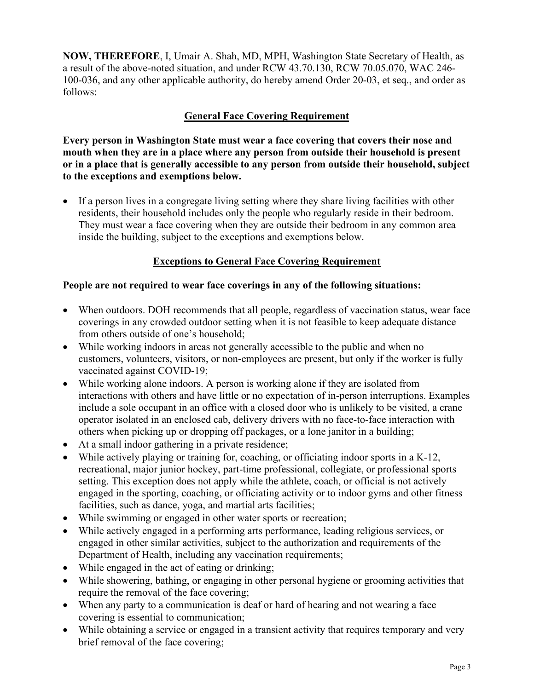**NOW, THEREFORE**, I, Umair A. Shah, MD, MPH, Washington State Secretary of Health, as a result of the above-noted situation, and under RCW 43.70.130, RCW 70.05.070, WAC 246- 100-036, and any other applicable authority, do hereby amend Order 20-03, et seq., and order as follows:

### **General Face Covering Requirement**

**Every person in Washington State must wear a face covering that covers their nose and mouth when they are in a place where any person from outside their household is present or in a place that is generally accessible to any person from outside their household, subject to the exceptions and exemptions below.**

• If a person lives in a congregate living setting where they share living facilities with other residents, their household includes only the people who regularly reside in their bedroom. They must wear a face covering when they are outside their bedroom in any common area inside the building, subject to the exceptions and exemptions below.

### **Exceptions to General Face Covering Requirement**

#### **People are not required to wear face coverings in any of the following situations:**

- When outdoors. DOH recommends that all people, regardless of vaccination status, wear face coverings in any crowded outdoor setting when it is not feasible to keep adequate distance from others outside of one's household;
- While working indoors in areas not generally accessible to the public and when no customers, volunteers, visitors, or non-employees are present, but only if the worker is fully vaccinated against COVID-19;
- While working alone indoors. A person is working alone if they are isolated from interactions with others and have little or no expectation of in-person interruptions. Examples include a sole occupant in an office with a closed door who is unlikely to be visited, a crane operator isolated in an enclosed cab, delivery drivers with no face-to-face interaction with others when picking up or dropping off packages, or a lone janitor in a building;
- At a small indoor gathering in a private residence;
- While actively playing or training for, coaching, or officiating indoor sports in a K-12, recreational, major junior hockey, part-time professional, collegiate, or professional sports setting. This exception does not apply while the athlete, coach, or official is not actively engaged in the sporting, coaching, or officiating activity or to indoor gyms and other fitness facilities, such as dance, yoga, and martial arts facilities;
- While swimming or engaged in other water sports or recreation;
- While actively engaged in a performing arts performance, leading religious services, or engaged in other similar activities, subject to the authorization and requirements of the Department of Health, including any vaccination requirements;
- While engaged in the act of eating or drinking;
- While showering, bathing, or engaging in other personal hygiene or grooming activities that require the removal of the face covering;
- When any party to a communication is deaf or hard of hearing and not wearing a face covering is essential to communication;
- While obtaining a service or engaged in a transient activity that requires temporary and very brief removal of the face covering;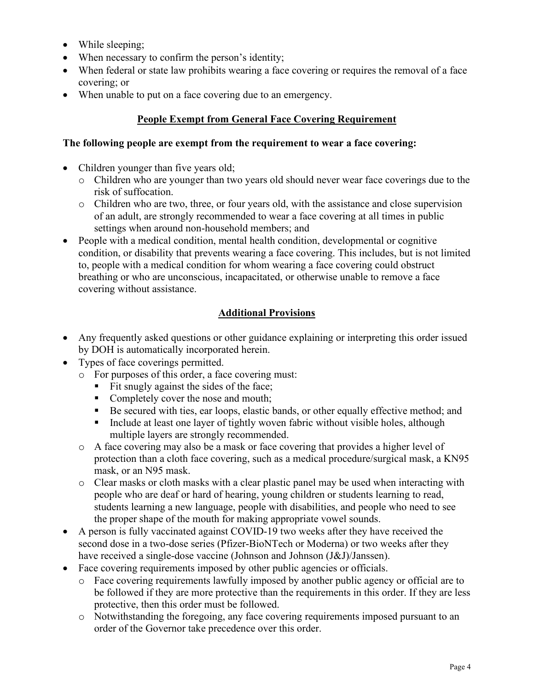- While sleeping;
- When necessary to confirm the person's identity;
- When federal or state law prohibits wearing a face covering or requires the removal of a face covering; or
- When unable to put on a face covering due to an emergency.

## **People Exempt from General Face Covering Requirement**

### **The following people are exempt from the requirement to wear a face covering:**

- Children younger than five years old;
	- o Children who are younger than two years old should never wear face coverings due to the risk of suffocation.
	- o Children who are two, three, or four years old, with the assistance and close supervision of an adult, are strongly recommended to wear a face covering at all times in public settings when around non-household members; and
- People with a medical condition, mental health condition, developmental or cognitive condition, or disability that prevents wearing a face covering. This includes, but is not limited to, people with a medical condition for whom wearing a face covering could obstruct breathing or who are unconscious, incapacitated, or otherwise unable to remove a face covering without assistance.

## **Additional Provisions**

- Any frequently asked questions or other guidance explaining or interpreting this order issued by DOH is automatically incorporated herein.
- Types of face coverings permitted.
	- o For purposes of this order, a face covering must:
		- Fit snugly against the sides of the face;
		- Completely cover the nose and mouth;
		- Be secured with ties, ear loops, elastic bands, or other equally effective method; and
		- Include at least one layer of tightly woven fabric without visible holes, although multiple layers are strongly recommended.
	- o A face covering may also be a mask or face covering that provides a higher level of protection than a cloth face covering, such as a medical procedure/surgical mask, a KN95 mask, or an N95 mask.
	- $\circ$  Clear masks or cloth masks with a clear plastic panel may be used when interacting with people who are deaf or hard of hearing, young children or students learning to read, students learning a new language, people with disabilities, and people who need to see the proper shape of the mouth for making appropriate vowel sounds.
- A person is fully vaccinated against COVID-19 two weeks after they have received the second dose in a two-dose series (Pfizer-BioNTech or Moderna) or two weeks after they have received a single-dose vaccine (Johnson and Johnson (J&J)/Janssen).
- Face covering requirements imposed by other public agencies or officials.
	- o Face covering requirements lawfully imposed by another public agency or official are to be followed if they are more protective than the requirements in this order. If they are less protective, then this order must be followed.
	- o Notwithstanding the foregoing, any face covering requirements imposed pursuant to an order of the Governor take precedence over this order.